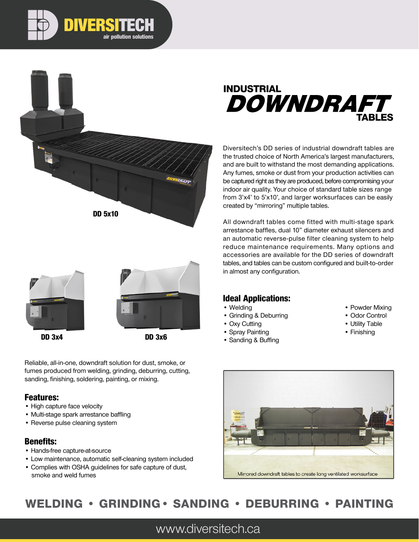





DD 3x4



DD 3x6

Reliable, all-in-one, downdraft solution for dust, smoke, or fumes produced from welding, grinding, deburring, cutting, sanding, finishing, soldering, painting, or mixing.

### Features:

- High capture face velocity
- Multi-stage spark arrestance baffling
- Reverse pulse cleaning system

### Benefits:

- Hands-free capture-at-source
- Low maintenance, automatic self-cleaning system included
- Complies with OSHA guidelines for safe capture of dust, smoke and weld fumes



Diversitech's DD series of industrial downdraft tables are the trusted choice of North America's largest manufacturers, and are built to withstand the most demanding applications. Any fumes, smoke or dust from your production activities can be captured right as they are produced, before compromising your indoor air quality. Your choice of standard table sizes range from 3'x4' to 5'x10', and larger worksurfaces can be easily created by "mirroring" multiple tables.

All downdraft tables come fitted with multi-stage spark arrestance baffles, dual 10" diameter exhaust silencers and an automatic reverse-pulse filter cleaning system to help reduce maintenance requirements. Many options and accessories are available for the DD series of downdraft tables, and tables can be custom configured and built-to-order in almost any configuration.

## Ideal Applications:

- Welding
- Grinding & Deburring
- Oxy Cutting
- Spray Painting
- Sanding & Buffing
- Powder Mixing
- Odor Control
- Utility Table
- Finishing



# WELDING • GRINDING• SANDING • DEBURRING • PAINTING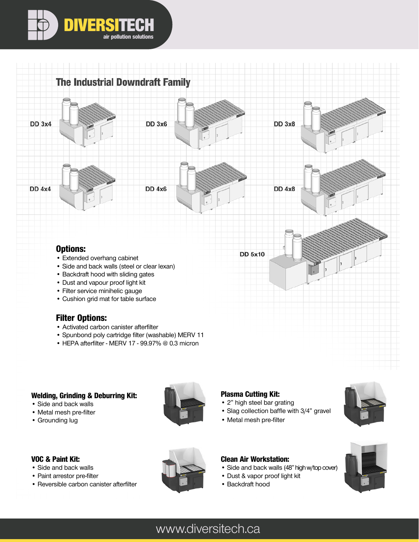



• HEPA afterfilter - MERV 17 - 99.97% @ 0.3 micron

#### Welding, Grinding & Deburring Kit:

- Side and back walls • Metal mesh pre-filter
- 
- Grounding lug



#### Plasma Cutting Kit:

- 2" high steel bar grating
- Slag collection baffle with 3/4" gravel
- Metal mesh pre-filter



### VOC & Paint Kit:

- Side and back walls
- Paint arrestor pre-filter
- Reversible carbon canister afterfilter

### Clean Air Workstation:

- Side and back walls (48" high w/top cover)
- Dust & vapor proof light kit
- Backdraft hood

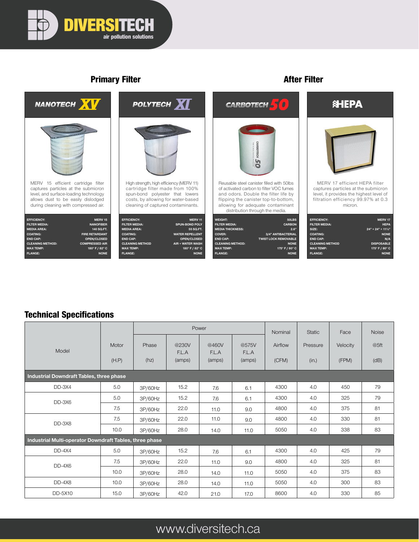

## Primary Filter **After Filter** After Filter



### Technical Specifications

|                                                         |                |               |                          | Power                    |                          | Nominal          | Static            | Face              | Noise        |  |  |
|---------------------------------------------------------|----------------|---------------|--------------------------|--------------------------|--------------------------|------------------|-------------------|-------------------|--------------|--|--|
| Model                                                   | Motor<br>(H.P) | Phase<br>(hz) | @230V<br>F.L.A<br>(amps) | @460V<br>F.L.A<br>(amps) | @575V<br>F.L.A<br>(amps) | Airflow<br>(CFM) | Pressure<br>(in.) | Velocity<br>(FPM) | @5ft<br>(dB) |  |  |
| Industrial Downdraft Tables, three phase                |                |               |                          |                          |                          |                  |                   |                   |              |  |  |
| DD-3X4                                                  | 5.0            | 3P/60Hz       | 15.2                     | 7.6                      | 6.1                      | 4300             | 4.0               | 450               | 79           |  |  |
| $DD-3X6$                                                | 5.0            | 3P/60Hz       | 15.2                     | 7.6                      | 6.1                      | 4300             | 4.0               | 325               | 79           |  |  |
|                                                         | 7.5            | 3P/60Hz       | 22.0                     | 11.0                     | 9.0                      | 4800             | 4.0               | 375               | 81           |  |  |
| DD-3X8                                                  | 7.5            | 3P/60Hz       | 22.0                     | 11.0                     | 9.0                      | 4800             | 4.0               | 330               | 81           |  |  |
|                                                         | 10.0           | 3P/60Hz       | 28.0                     | 14.0                     | 11.0                     | 5050             | 4.0               | 338               | 83           |  |  |
| Industrial Multi-operator Downdraft Tables, three phase |                |               |                          |                          |                          |                  |                   |                   |              |  |  |
| $DD-4X4$                                                | 5.0            | 3P/60Hz       | 15.2                     | 7.6                      | 6.1                      | 4300             | 4.0               | 425               | 79           |  |  |
| $DD-4X6$                                                | 7.5            | 3P/60Hz       | 22.0                     | 11.0                     | 9.0                      | 4800             | 4.0               | 325               | 81           |  |  |
|                                                         | 10.0           | 3P/60Hz       | 28.0                     | 14.0                     | 11.0                     | 5050             | 4.0               | 375               | 83           |  |  |
| DD-4X8                                                  | 10.0           | 3P/60Hz       | 28.0                     | 14.0                     | 11.0                     | 5050             | 4.0               | 300               | 83           |  |  |
| DD-5X10                                                 | 15.0           | 3P/60Hz       | 42.0                     | 21.0                     | 17.0                     | 8600             | 4.0               | 330               | 85           |  |  |